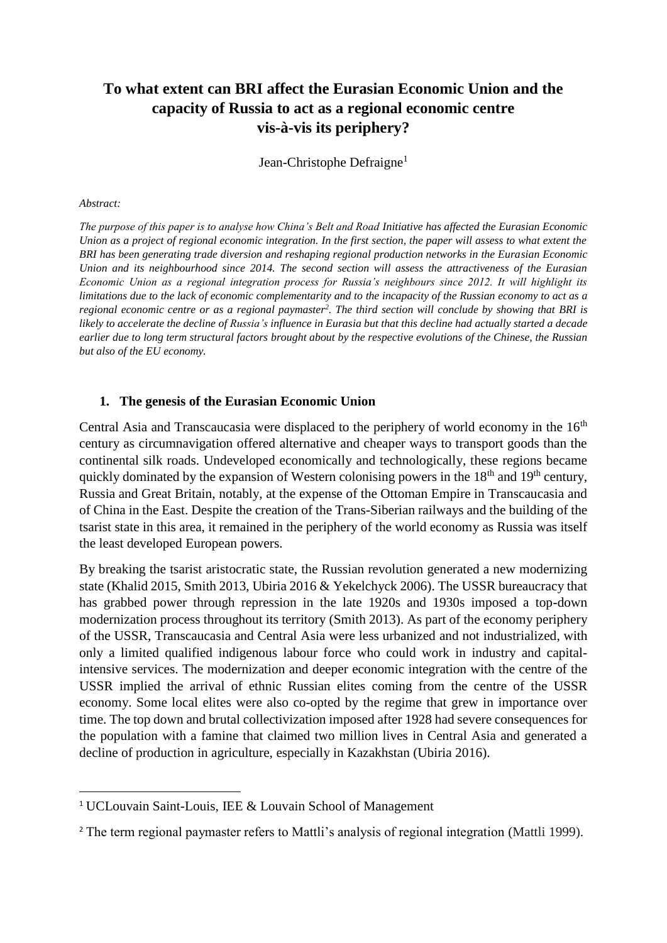# **To what extent can BRI affect the Eurasian Economic Union and the capacity of Russia to act as a regional economic centre vis-à-vis its periphery?**

Jean-Christophe Defraigne<sup>1</sup>

#### *Abstract:*

**.** 

*The purpose of this paper is to analyse how China's Belt and Road Initiative has affected the Eurasian Economic Union as a project of regional economic integration. In the first section, the paper will assess to what extent the BRI has been generating trade diversion and reshaping regional production networks in the Eurasian Economic Union and its neighbourhood since 2014. The second section will assess the attractiveness of the Eurasian Economic Union as a regional integration process for Russia's neighbours since 2012. It will highlight its limitations due to the lack of economic complementarity and to the incapacity of the Russian economy to act as a regional economic centre or as a regional paymaster<sup>2</sup> . The third section will conclude by showing that BRI is likely to accelerate the decline of Russia's influence in Eurasia but that this decline had actually started a decade earlier due to long term structural factors brought about by the respective evolutions of the Chinese, the Russian but also of the EU economy.* 

#### **1. The genesis of the Eurasian Economic Union**

Central Asia and Transcaucasia were displaced to the periphery of world economy in the  $16<sup>th</sup>$ century as circumnavigation offered alternative and cheaper ways to transport goods than the continental silk roads. Undeveloped economically and technologically, these regions became quickly dominated by the expansion of Western colonising powers in the  $18<sup>th</sup>$  and  $19<sup>th</sup>$  century, Russia and Great Britain, notably, at the expense of the Ottoman Empire in Transcaucasia and of China in the East. Despite the creation of the Trans-Siberian railways and the building of the tsarist state in this area, it remained in the periphery of the world economy as Russia was itself the least developed European powers.

By breaking the tsarist aristocratic state, the Russian revolution generated a new modernizing state (Khalid 2015, Smith 2013, Ubiria 2016 & Yekelchyck 2006). The USSR bureaucracy that has grabbed power through repression in the late 1920s and 1930s imposed a top-down modernization process throughout its territory (Smith 2013). As part of the economy periphery of the USSR, Transcaucasia and Central Asia were less urbanized and not industrialized, with only a limited qualified indigenous labour force who could work in industry and capitalintensive services. The modernization and deeper economic integration with the centre of the USSR implied the arrival of ethnic Russian elites coming from the centre of the USSR economy. Some local elites were also co-opted by the regime that grew in importance over time. The top down and brutal collectivization imposed after 1928 had severe consequences for the population with a famine that claimed two million lives in Central Asia and generated a decline of production in agriculture, especially in Kazakhstan (Ubiria 2016).

<sup>&</sup>lt;sup>1</sup> UCLouvain Saint-Louis, IEE & Louvain School of Management

<sup>&</sup>lt;sup>2</sup> The term regional paymaster refers to Mattli's analysis of regional integration (Mattli 1999).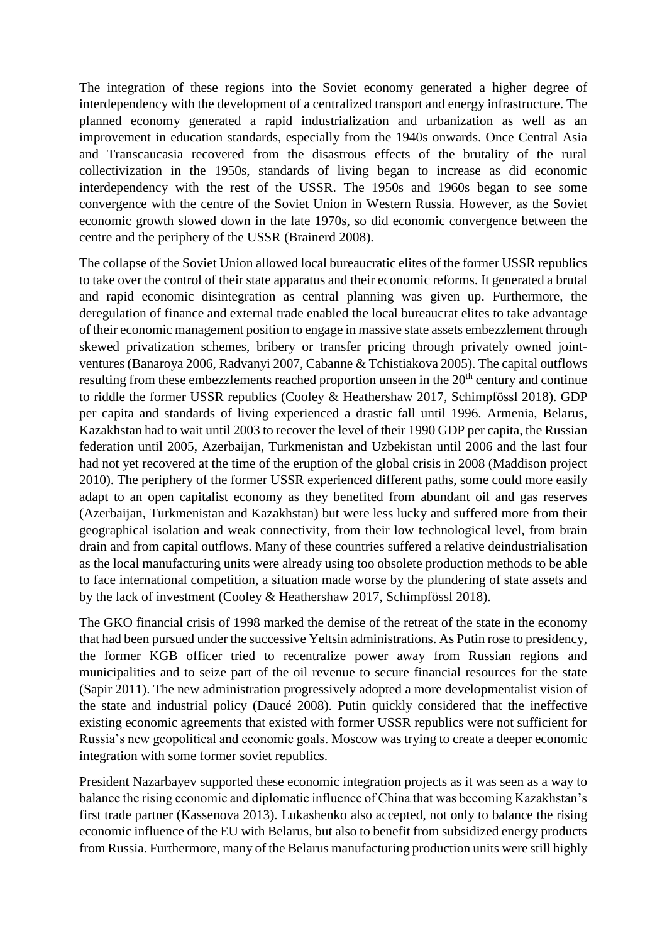The integration of these regions into the Soviet economy generated a higher degree of interdependency with the development of a centralized transport and energy infrastructure. The planned economy generated a rapid industrialization and urbanization as well as an improvement in education standards, especially from the 1940s onwards. Once Central Asia and Transcaucasia recovered from the disastrous effects of the brutality of the rural collectivization in the 1950s, standards of living began to increase as did economic interdependency with the rest of the USSR. The 1950s and 1960s began to see some convergence with the centre of the Soviet Union in Western Russia. However, as the Soviet economic growth slowed down in the late 1970s, so did economic convergence between the centre and the periphery of the USSR (Brainerd 2008).

The collapse of the Soviet Union allowed local bureaucratic elites of the former USSR republics to take over the control of their state apparatus and their economic reforms. It generated a brutal and rapid economic disintegration as central planning was given up. Furthermore, the deregulation of finance and external trade enabled the local bureaucrat elites to take advantage of their economic management position to engage in massive state assets embezzlement through skewed privatization schemes, bribery or transfer pricing through privately owned jointventures (Banaroya 2006, Radvanyi 2007, Cabanne & Tchistiakova 2005). The capital outflows resulting from these embezzlements reached proportion unseen in the 20<sup>th</sup> century and continue to riddle the former USSR republics (Cooley & Heathershaw 2017, Schimpfössl 2018). GDP per capita and standards of living experienced a drastic fall until 1996. Armenia, Belarus, Kazakhstan had to wait until 2003 to recover the level of their 1990 GDP per capita, the Russian federation until 2005, Azerbaijan, Turkmenistan and Uzbekistan until 2006 and the last four had not yet recovered at the time of the eruption of the global crisis in 2008 (Maddison project 2010). The periphery of the former USSR experienced different paths, some could more easily adapt to an open capitalist economy as they benefited from abundant oil and gas reserves (Azerbaijan, Turkmenistan and Kazakhstan) but were less lucky and suffered more from their geographical isolation and weak connectivity, from their low technological level, from brain drain and from capital outflows. Many of these countries suffered a relative deindustrialisation as the local manufacturing units were already using too obsolete production methods to be able to face international competition, a situation made worse by the plundering of state assets and by the lack of investment (Cooley & Heathershaw 2017, Schimpfössl 2018).

The GKO financial crisis of 1998 marked the demise of the retreat of the state in the economy that had been pursued under the successive Yeltsin administrations. As Putin rose to presidency, the former KGB officer tried to recentralize power away from Russian regions and municipalities and to seize part of the oil revenue to secure financial resources for the state (Sapir 2011). The new administration progressively adopted a more developmentalist vision of the state and industrial policy (Daucé 2008). Putin quickly considered that the ineffective existing economic agreements that existed with former USSR republics were not sufficient for Russia's new geopolitical and economic goals. Moscow was trying to create a deeper economic integration with some former soviet republics.

President Nazarbayev supported these economic integration projects as it was seen as a way to balance the rising economic and diplomatic influence of China that was becoming Kazakhstan's first trade partner (Kassenova 2013). Lukashenko also accepted, not only to balance the rising economic influence of the EU with Belarus, but also to benefit from subsidized energy products from Russia. Furthermore, many of the Belarus manufacturing production units were still highly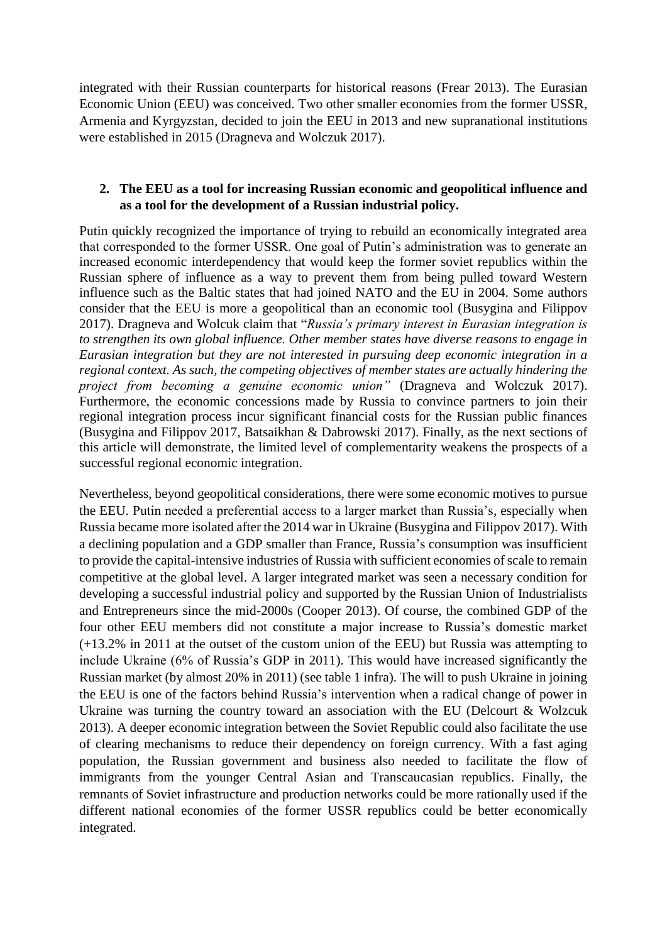integrated with their Russian counterparts for historical reasons (Frear 2013). The Eurasian Economic Union (EEU) was conceived. Two other smaller economies from the former USSR, [Armenia](https://en.wikipedia.org/wiki/Armenia) and [Kyrgyzstan,](https://en.wikipedia.org/wiki/Kyrgyzstan) decided to join the EEU in 2013 and new supranational institutions were established in 2015 (Dragneva and Wolczuk 2017).

# **2. The EEU as a tool for increasing Russian economic and geopolitical influence and as a tool for the development of a Russian industrial policy.**

Putin quickly recognized the importance of trying to rebuild an economically integrated area that corresponded to the former USSR. One goal of Putin's administration was to generate an increased economic interdependency that would keep the former soviet republics within the Russian sphere of influence as a way to prevent them from being pulled toward Western influence such as the Baltic states that had joined NATO and the EU in 2004. Some authors consider that the EEU is more a geopolitical than an economic tool (Busygina and Filippov 2017). Dragneva and Wolcuk claim that "*Russia's primary interest in Eurasian integration is to strengthen its own global influence. Other member states have diverse reasons to engage in Eurasian integration but they are not interested in pursuing deep economic integration in a regional context. As such, the competing objectives of member states are actually hindering the project from becoming a genuine economic union"* (Dragneva and Wolczuk 2017). Furthermore, the economic concessions made by Russia to convince partners to join their regional integration process incur significant financial costs for the Russian public finances (Busygina and Filippov 2017, Batsaikhan & Dabrowski 2017). Finally, as the next sections of this article will demonstrate, the limited level of complementarity weakens the prospects of a successful regional economic integration.

Nevertheless, beyond geopolitical considerations, there were some economic motives to pursue the EEU. Putin needed a preferential access to a larger market than Russia's, especially when Russia became more isolated after the 2014 war in Ukraine (Busygina and Filippov 2017). With a declining population and a GDP smaller than France, Russia's consumption was insufficient to provide the capital-intensive industries of Russia with sufficient economies of scale to remain competitive at the global level. A larger integrated market was seen a necessary condition for developing a successful industrial policy and supported by the Russian Union of Industrialists and Entrepreneurs since the mid-2000s (Cooper 2013). Of course, the combined GDP of the four other EEU members did not constitute a major increase to Russia's domestic market (+13.2% in 2011 at the outset of the custom union of the EEU) but Russia was attempting to include Ukraine (6% of Russia's GDP in 2011). This would have increased significantly the Russian market (by almost 20% in 2011) (see table 1 infra). The will to push Ukraine in joining the EEU is one of the factors behind Russia's intervention when a radical change of power in Ukraine was turning the country toward an association with the EU (Delcourt & Wolzcuk 2013). A deeper economic integration between the Soviet Republic could also facilitate the use of clearing mechanisms to reduce their dependency on foreign currency. With a fast aging population, the Russian government and business also needed to facilitate the flow of immigrants from the younger Central Asian and Transcaucasian republics. Finally, the remnants of Soviet infrastructure and production networks could be more rationally used if the different national economies of the former USSR republics could be better economically integrated.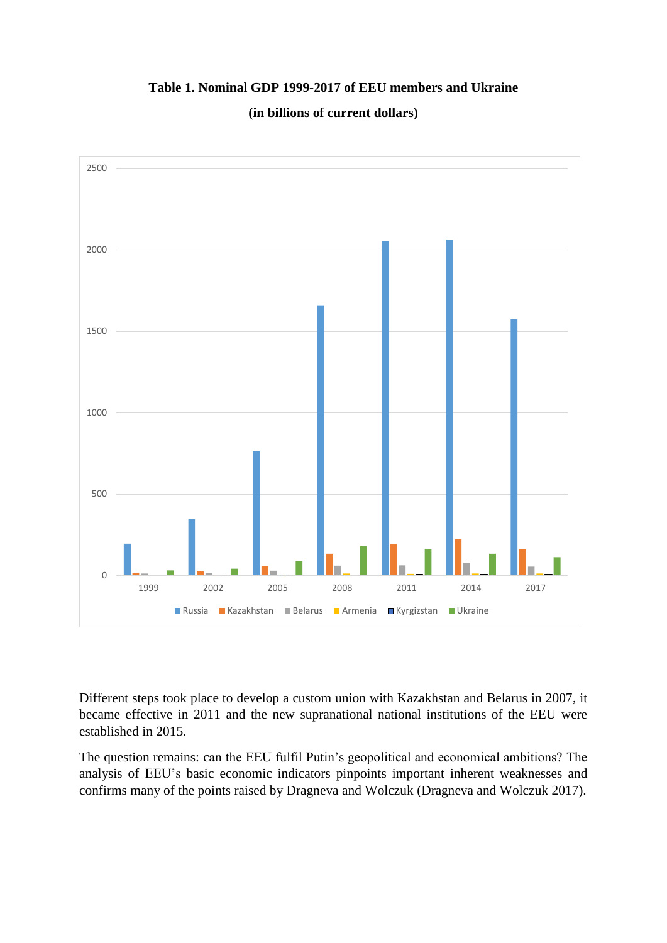0 500 1000 1500 2000 2500 1999 2002 2005 2008 2011 2014 2017 ■ Russia ■ Kazakhstan ■ Belarus ■ Armenia ■ Kyrgizstan ■ Ukraine

# **Table 1. Nominal GDP 1999-2017 of EEU members and Ukraine**

**(in billions of current dollars)**

Different steps took place to develop a custom union with Kazakhstan and Belarus in 2007, it became effective in 2011 and the new supranational national institutions of the EEU were established in 2015.

The question remains: can the EEU fulfil Putin's geopolitical and economical ambitions? The analysis of EEU's basic economic indicators pinpoints important inherent weaknesses and confirms many of the points raised by Dragneva and Wolczuk (Dragneva and Wolczuk 2017).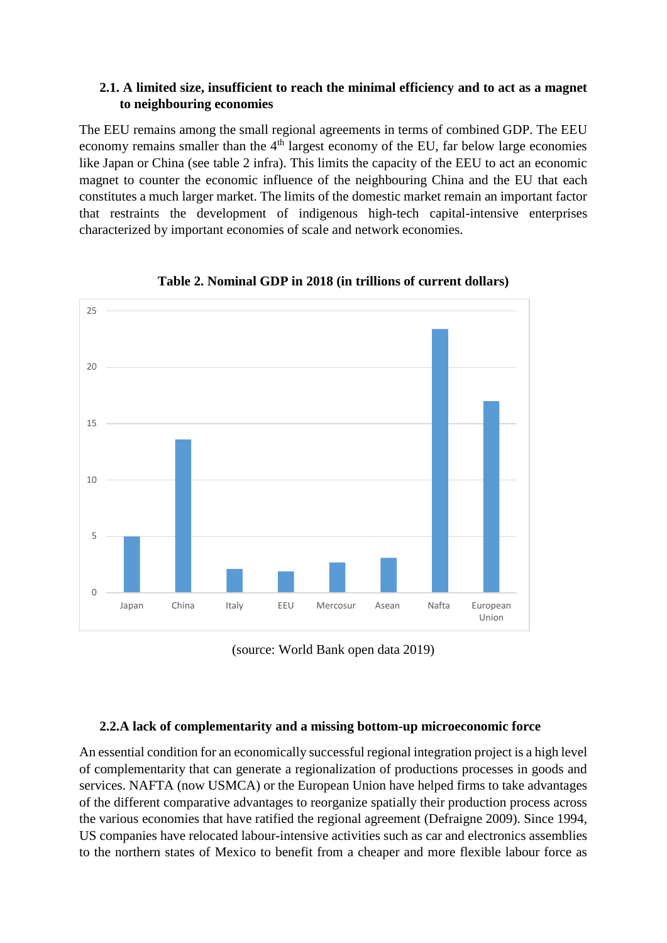### **2.1. A limited size, insufficient to reach the minimal efficiency and to act as a magnet to neighbouring economies**

The EEU remains among the small regional agreements in terms of combined GDP. The EEU economy remains smaller than the  $4<sup>th</sup>$  largest economy of the EU, far below large economies like Japan or China (see table 2 infra). This limits the capacity of the EEU to act an economic magnet to counter the economic influence of the neighbouring China and the EU that each constitutes a much larger market. The limits of the domestic market remain an important factor that restraints the development of indigenous high-tech capital-intensive enterprises characterized by important economies of scale and network economies.



**Table 2. Nominal GDP in 2018 (in trillions of current dollars)**



# **2.2.A lack of complementarity and a missing bottom-up microeconomic force**

An essential condition for an economically successful regional integration project is a high level of complementarity that can generate a regionalization of productions processes in goods and services. NAFTA (now USMCA) or the European Union have helped firms to take advantages of the different comparative advantages to reorganize spatially their production process across the various economies that have ratified the regional agreement (Defraigne 2009). Since 1994, US companies have relocated labour-intensive activities such as car and electronics assemblies to the northern states of Mexico to benefit from a cheaper and more flexible labour force as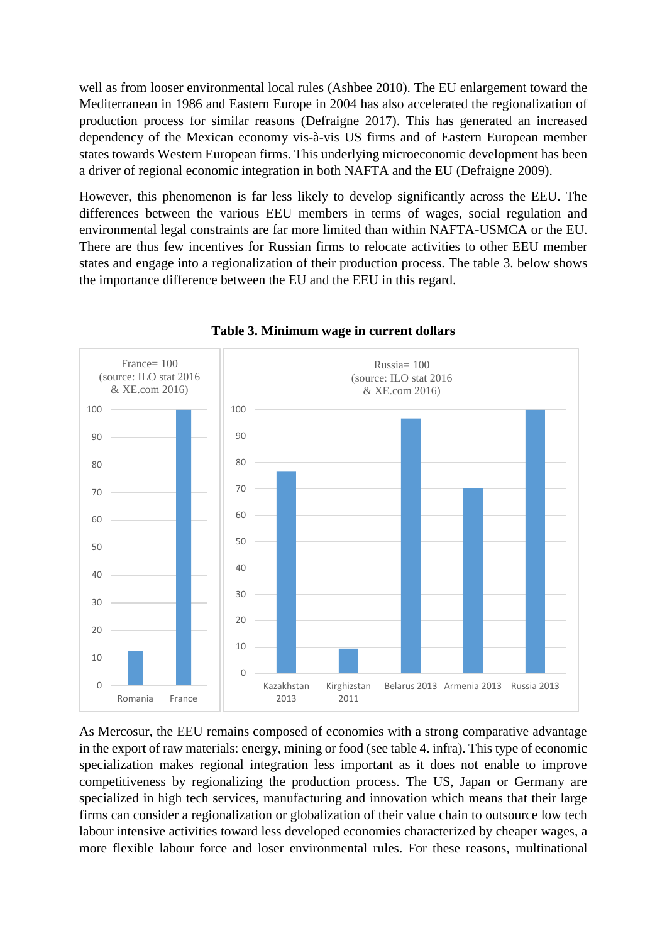well as from looser environmental local rules (Ashbee 2010). The EU enlargement toward the Mediterranean in 1986 and Eastern Europe in 2004 has also accelerated the regionalization of production process for similar reasons (Defraigne 2017). This has generated an increased dependency of the Mexican economy vis-à-vis US firms and of Eastern European member states towards Western European firms. This underlying microeconomic development has been a driver of regional economic integration in both NAFTA and the EU (Defraigne 2009).

However, this phenomenon is far less likely to develop significantly across the EEU. The differences between the various EEU members in terms of wages, social regulation and environmental legal constraints are far more limited than within NAFTA-USMCA or the EU. There are thus few incentives for Russian firms to relocate activities to other EEU member states and engage into a regionalization of their production process. The table 3. below shows the importance difference between the EU and the EEU in this regard.



**Table 3. Minimum wage in current dollars**

As Mercosur, the EEU remains composed of economies with a strong comparative advantage in the export of raw materials: energy, mining or food (see table 4. infra). This type of economic specialization makes regional integration less important as it does not enable to improve competitiveness by regionalizing the production process. The US, Japan or Germany are specialized in high tech services, manufacturing and innovation which means that their large firms can consider a regionalization or globalization of their value chain to outsource low tech labour intensive activities toward less developed economies characterized by cheaper wages, a more flexible labour force and loser environmental rules. For these reasons, multinational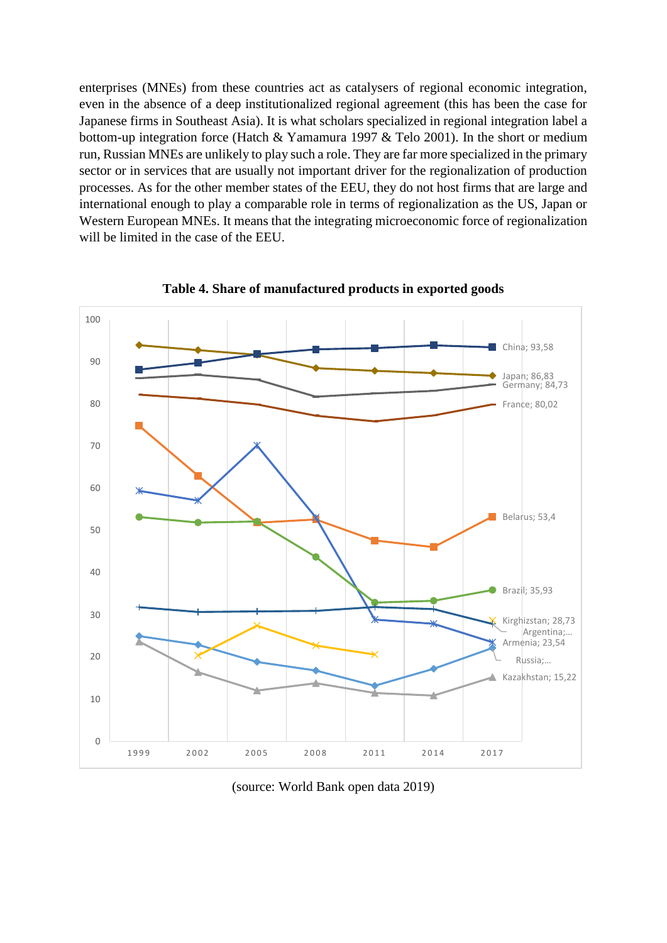enterprises (MNEs) from these countries act as catalysers of regional economic integration, even in the absence of a deep institutionalized regional agreement (this has been the case for Japanese firms in Southeast Asia). It is what scholars specialized in regional integration label a bottom-up integration force (Hatch & Yamamura 1997 & Telo 2001). In the short or medium run, Russian MNEs are unlikely to play such a role. They are far more specialized in the primary sector or in services that are usually not important driver for the regionalization of production processes. As for the other member states of the EEU, they do not host firms that are large and international enough to play a comparable role in terms of regionalization as the US, Japan or Western European MNEs. It means that the integrating microeconomic force of regionalization will be limited in the case of the EEU.



**Table 4. Share of manufactured products in exported goods**

(source: World Bank open data 2019)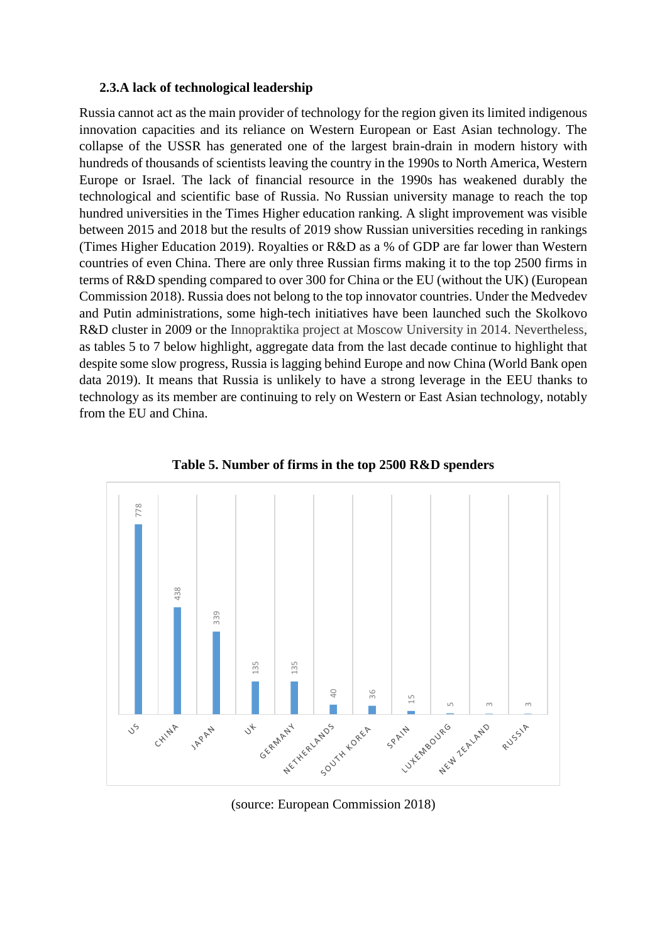#### **2.3.A lack of technological leadership**

Russia cannot act as the main provider of technology for the region given its limited indigenous innovation capacities and its reliance on Western European or East Asian technology. The collapse of the USSR has generated one of the largest brain-drain in modern history with hundreds of thousands of scientists leaving the country in the 1990s to North America, Western Europe or Israel. The lack of financial resource in the 1990s has weakened durably the technological and scientific base of Russia. No Russian university manage to reach the top hundred universities in the Times Higher education ranking. A slight improvement was visible between 2015 and 2018 but the results of 2019 show Russian universities receding in rankings (Times Higher Education 2019). Royalties or R&D as a % of GDP are far lower than Western countries of even China. There are only three Russian firms making it to the top 2500 firms in terms of R&D spending compared to over 300 for China or the EU (without the UK) (European Commission 2018). Russia does not belong to the top innovator countries. Under the Medvedev and Putin administrations, some high-tech initiatives have been launched such the Skolkovo R&D cluster in 2009 or the Innopraktika project at Moscow University in 2014. Nevertheless, as tables 5 to 7 below highlight, aggregate data from the last decade continue to highlight that despite some slow progress, Russia is lagging behind Europe and now China (World Bank open data 2019). It means that Russia is unlikely to have a strong leverage in the EEU thanks to technology as its member are continuing to rely on Western or East Asian technology, notably from the EU and China.



**Table 5. Number of firms in the top 2500 R&D spenders**

(source: European Commission 2018)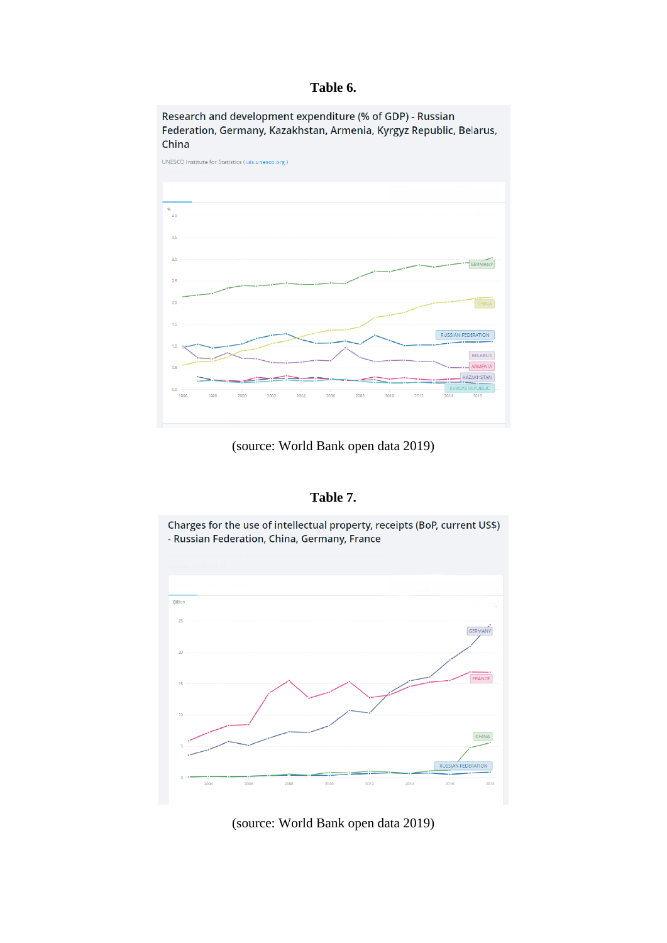### **Table 6.**

Research and development expenditure (% of GDP) - Russian Federation, Germany, Kazakhstan, Armenia, Kyrgyz Republic, Belarus, China



(source: World Bank open data 2019)

#### **Table 7.**



(source: World Bank open data 2019)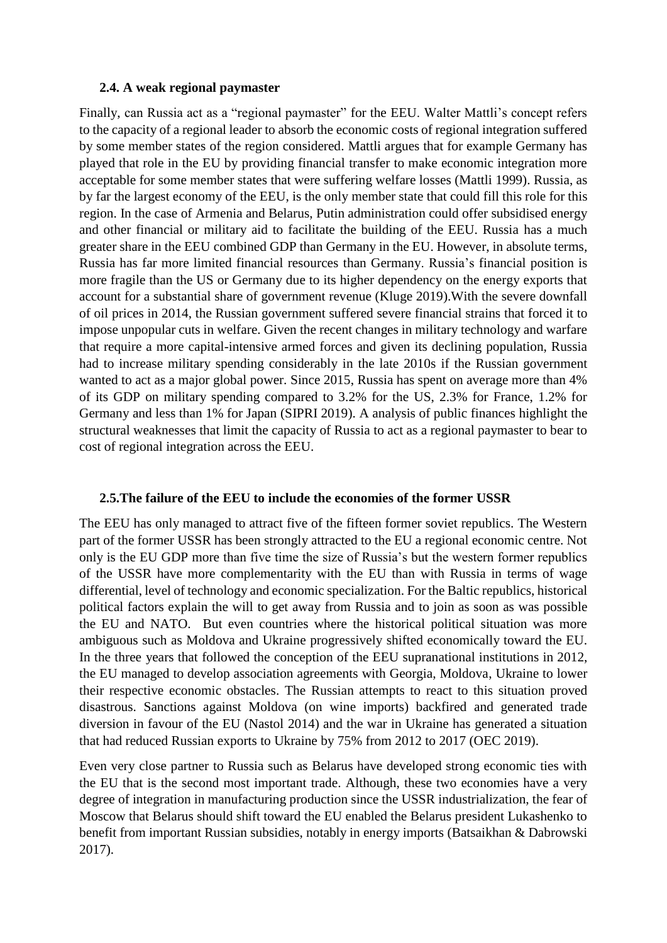#### **2.4. A weak regional paymaster**

Finally, can Russia act as a "regional paymaster" for the EEU. Walter Mattli's concept refers to the capacity of a regional leader to absorb the economic costs of regional integration suffered by some member states of the region considered. Mattli argues that for example Germany has played that role in the EU by providing financial transfer to make economic integration more acceptable for some member states that were suffering welfare losses (Mattli 1999). Russia, as by far the largest economy of the EEU, is the only member state that could fill this role for this region. In the case of Armenia and Belarus, Putin administration could offer subsidised energy and other financial or military aid to facilitate the building of the EEU. Russia has a much greater share in the EEU combined GDP than Germany in the EU. However, in absolute terms, Russia has far more limited financial resources than Germany. Russia's financial position is more fragile than the US or Germany due to its higher dependency on the energy exports that account for a substantial share of government revenue (Kluge 2019).With the severe downfall of oil prices in 2014, the Russian government suffered severe financial strains that forced it to impose unpopular cuts in welfare. Given the recent changes in military technology and warfare that require a more capital-intensive armed forces and given its declining population, Russia had to increase military spending considerably in the late 2010s if the Russian government wanted to act as a major global power. Since 2015, Russia has spent on average more than 4% of its GDP on military spending compared to 3.2% for the US, 2.3% for France, 1.2% for Germany and less than 1% for Japan (SIPRI 2019). A analysis of public finances highlight the structural weaknesses that limit the capacity of Russia to act as a regional paymaster to bear to cost of regional integration across the EEU.

# **2.5.The failure of the EEU to include the economies of the former USSR**

The EEU has only managed to attract five of the fifteen former soviet republics. The Western part of the former USSR has been strongly attracted to the EU a regional economic centre. Not only is the EU GDP more than five time the size of Russia's but the western former republics of the USSR have more complementarity with the EU than with Russia in terms of wage differential, level of technology and economic specialization. For the Baltic republics, historical political factors explain the will to get away from Russia and to join as soon as was possible the EU and NATO. But even countries where the historical political situation was more ambiguous such as Moldova and Ukraine progressively shifted economically toward the EU. In the three years that followed the conception of the EEU supranational institutions in 2012, the EU managed to develop association agreements with Georgia, Moldova, Ukraine to lower their respective economic obstacles. The Russian attempts to react to this situation proved disastrous. Sanctions against Moldova (on wine imports) backfired and generated trade diversion in favour of the EU (Nastol 2014) and the war in Ukraine has generated a situation that had reduced Russian exports to Ukraine by 75% from 2012 to 2017 (OEC 2019).

Even very close partner to Russia such as Belarus have developed strong economic ties with the EU that is the second most important trade. Although, these two economies have a very degree of integration in manufacturing production since the USSR industrialization, the fear of Moscow that Belarus should shift toward the EU enabled the Belarus president Lukashenko to benefit from important Russian subsidies, notably in energy imports (Batsaikhan & Dabrowski 2017).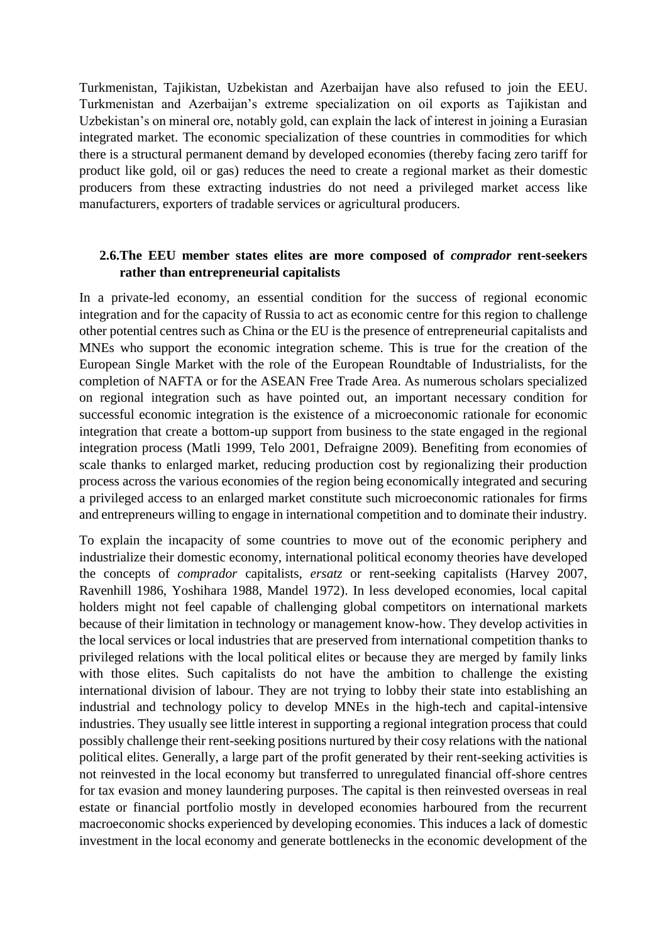Turkmenistan, Tajikistan, Uzbekistan and Azerbaijan have also refused to join the EEU. Turkmenistan and Azerbaijan's extreme specialization on oil exports as Tajikistan and Uzbekistan's on mineral ore, notably gold, can explain the lack of interest in joining a Eurasian integrated market. The economic specialization of these countries in commodities for which there is a structural permanent demand by developed economies (thereby facing zero tariff for product like gold, oil or gas) reduces the need to create a regional market as their domestic producers from these extracting industries do not need a privileged market access like manufacturers, exporters of tradable services or agricultural producers.

# **2.6.The EEU member states elites are more composed of** *comprador* **rent-seekers rather than entrepreneurial capitalists**

In a private-led economy, an essential condition for the success of regional economic integration and for the capacity of Russia to act as economic centre for this region to challenge other potential centres such as China or the EU is the presence of entrepreneurial capitalists and MNEs who support the economic integration scheme. This is true for the creation of the European Single Market with the role of the European Roundtable of Industrialists, for the completion of NAFTA or for the ASEAN Free Trade Area. As numerous scholars specialized on regional integration such as have pointed out, an important necessary condition for successful economic integration is the existence of a microeconomic rationale for economic integration that create a bottom-up support from business to the state engaged in the regional integration process (Matli 1999, Telo 2001, Defraigne 2009). Benefiting from economies of scale thanks to enlarged market, reducing production cost by regionalizing their production process across the various economies of the region being economically integrated and securing a privileged access to an enlarged market constitute such microeconomic rationales for firms and entrepreneurs willing to engage in international competition and to dominate their industry.

To explain the incapacity of some countries to move out of the economic periphery and industrialize their domestic economy, international political economy theories have developed the concepts of *comprador* capitalists, *ersatz* or rent-seeking capitalists (Harvey 2007, Ravenhill 1986, Yoshihara 1988, Mandel 1972). In less developed economies, local capital holders might not feel capable of challenging global competitors on international markets because of their limitation in technology or management know-how. They develop activities in the local services or local industries that are preserved from international competition thanks to privileged relations with the local political elites or because they are merged by family links with those elites. Such capitalists do not have the ambition to challenge the existing international division of labour. They are not trying to lobby their state into establishing an industrial and technology policy to develop MNEs in the high-tech and capital-intensive industries. They usually see little interest in supporting a regional integration process that could possibly challenge their rent-seeking positions nurtured by their cosy relations with the national political elites. Generally, a large part of the profit generated by their rent-seeking activities is not reinvested in the local economy but transferred to unregulated financial off-shore centres for tax evasion and money laundering purposes. The capital is then reinvested overseas in real estate or financial portfolio mostly in developed economies harboured from the recurrent macroeconomic shocks experienced by developing economies. This induces a lack of domestic investment in the local economy and generate bottlenecks in the economic development of the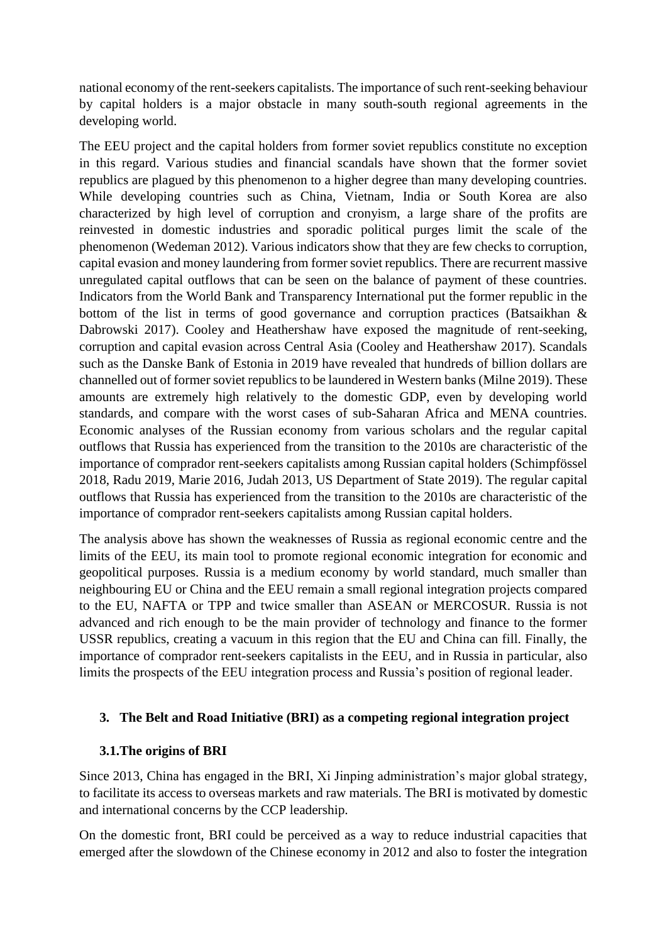national economy of the rent-seekers capitalists. The importance of such rent-seeking behaviour by capital holders is a major obstacle in many south-south regional agreements in the developing world.

The EEU project and the capital holders from former soviet republics constitute no exception in this regard. Various studies and financial scandals have shown that the former soviet republics are plagued by this phenomenon to a higher degree than many developing countries. While developing countries such as China, Vietnam, India or South Korea are also characterized by high level of corruption and cronyism, a large share of the profits are reinvested in domestic industries and sporadic political purges limit the scale of the phenomenon (Wedeman 2012). Various indicators show that they are few checks to corruption, capital evasion and money laundering from former soviet republics. There are recurrent massive unregulated capital outflows that can be seen on the balance of payment of these countries. Indicators from the World Bank and Transparency International put the former republic in the bottom of the list in terms of good governance and corruption practices (Batsaikhan & Dabrowski 2017). Cooley and Heathershaw have exposed the magnitude of rent-seeking, corruption and capital evasion across Central Asia (Cooley and Heathershaw 2017). Scandals such as the Danske Bank of Estonia in 2019 have revealed that hundreds of billion dollars are channelled out of former soviet republics to be laundered in Western banks (Milne 2019). These amounts are extremely high relatively to the domestic GDP, even by developing world standards, and compare with the worst cases of sub-Saharan Africa and MENA countries. Economic analyses of the Russian economy from various scholars and the regular capital outflows that Russia has experienced from the transition to the 2010s are characteristic of the importance of comprador rent-seekers capitalists among Russian capital holders (Schimpfössel 2018, Radu 2019, Marie 2016, Judah 2013, US Department of State 2019). The regular capital outflows that Russia has experienced from the transition to the 2010s are characteristic of the importance of comprador rent-seekers capitalists among Russian capital holders.

The analysis above has shown the weaknesses of Russia as regional economic centre and the limits of the EEU, its main tool to promote regional economic integration for economic and geopolitical purposes. Russia is a medium economy by world standard, much smaller than neighbouring EU or China and the EEU remain a small regional integration projects compared to the EU, NAFTA or TPP and twice smaller than ASEAN or MERCOSUR. Russia is not advanced and rich enough to be the main provider of technology and finance to the former USSR republics, creating a vacuum in this region that the EU and China can fill. Finally, the importance of comprador rent-seekers capitalists in the EEU, and in Russia in particular, also limits the prospects of the EEU integration process and Russia's position of regional leader.

# **3. The Belt and Road Initiative (BRI) as a competing regional integration project**

# **3.1.The origins of BRI**

Since 2013, China has engaged in the BRI, Xi Jinping administration's major global strategy, to facilitate its access to overseas markets and raw materials. The BRI is motivated by domestic and international concerns by the CCP leadership.

On the domestic front, BRI could be perceived as a way to reduce industrial capacities that emerged after the slowdown of the Chinese economy in 2012 and also to foster the integration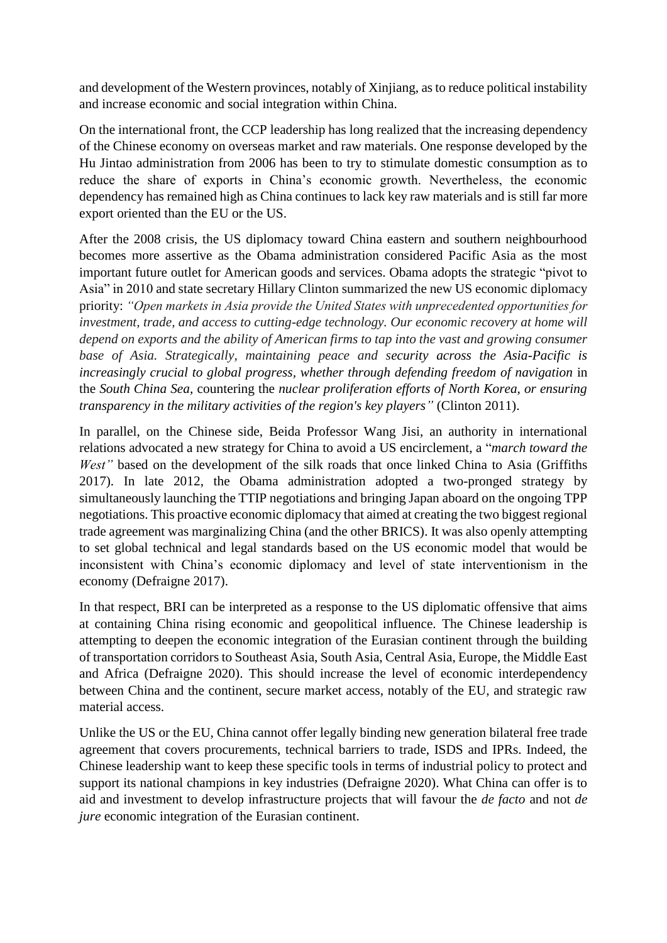and development of the Western provinces, notably of Xinjiang, as to reduce political instability and increase economic and social integration within China.

On the international front, the CCP leadership has long realized that the increasing dependency of the Chinese economy on overseas market and raw materials. One response developed by the Hu Jintao administration from 2006 has been to try to stimulate domestic consumption as to reduce the share of exports in China's economic growth. Nevertheless, the economic dependency has remained high as China continues to lack key raw materials and is still far more export oriented than the EU or the US.

After the 2008 crisis, the US diplomacy toward China eastern and southern neighbourhood becomes more assertive as the Obama administration considered Pacific Asia as the most important future outlet for American goods and services. Obama adopts the strategic "pivot to Asia" in 2010 and state secretary Hillary Clinton summarized the new US economic diplomacy priority: *"Open markets in Asia provide the United States with unprecedented opportunities for investment, trade, and access to cutting-edge technology. Our economic recovery at home will depend on exports and the ability of American firms to tap into the vast and growing consumer base of Asia. Strategically, maintaining peace and security across the Asia-Pacific is increasingly crucial to global progress, whether through defending freedom of navigation* in the *South China Sea*, countering the *nuclear proliferation efforts of North Korea, or ensuring transparency in the military activities of the region's key players"* (Clinton 2011).

In parallel, on the Chinese side, Beida Professor Wang Jisi, an authority in international relations advocated a new strategy for China to avoid a US encirclement, a "*march toward the West"* based on the development of the silk roads that once linked China to Asia (Griffiths 2017). In late 2012, the Obama administration adopted a two-pronged strategy by simultaneously launching the TTIP negotiations and bringing Japan aboard on the ongoing TPP negotiations. This proactive economic diplomacy that aimed at creating the two biggest regional trade agreement was marginalizing China (and the other BRICS). It was also openly attempting to set global technical and legal standards based on the US economic model that would be inconsistent with China's economic diplomacy and level of state interventionism in the economy (Defraigne 2017).

In that respect, BRI can be interpreted as a response to the US diplomatic offensive that aims at containing China rising economic and geopolitical influence. The Chinese leadership is attempting to deepen the economic integration of the Eurasian continent through the building of transportation corridors to Southeast Asia, South Asia, Central Asia, Europe, the Middle East and Africa (Defraigne 2020). This should increase the level of economic interdependency between China and the continent, secure market access, notably of the EU, and strategic raw material access.

Unlike the US or the EU, China cannot offer legally binding new generation bilateral free trade agreement that covers procurements, technical barriers to trade, ISDS and IPRs. Indeed, the Chinese leadership want to keep these specific tools in terms of industrial policy to protect and support its national champions in key industries (Defraigne 2020). What China can offer is to aid and investment to develop infrastructure projects that will favour the *de facto* and not *de jure* economic integration of the Eurasian continent.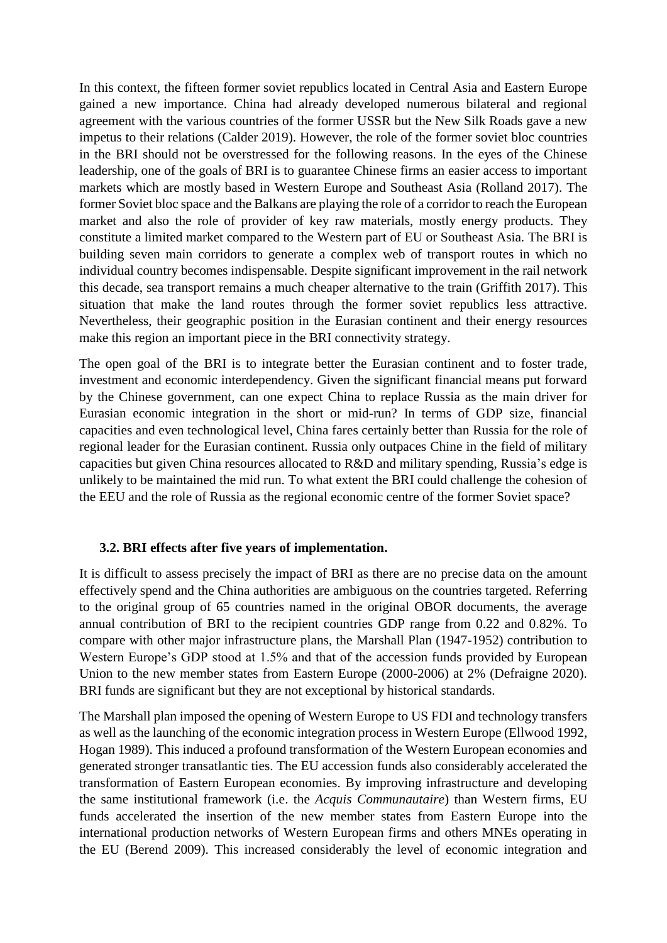In this context, the fifteen former soviet republics located in Central Asia and Eastern Europe gained a new importance. China had already developed numerous bilateral and regional agreement with the various countries of the former USSR but the New Silk Roads gave a new impetus to their relations (Calder 2019). However, the role of the former soviet bloc countries in the BRI should not be overstressed for the following reasons. In the eyes of the Chinese leadership, one of the goals of BRI is to guarantee Chinese firms an easier access to important markets which are mostly based in Western Europe and Southeast Asia (Rolland 2017). The former Soviet bloc space and the Balkans are playing the role of a corridor to reach the European market and also the role of provider of key raw materials, mostly energy products. They constitute a limited market compared to the Western part of EU or Southeast Asia. The BRI is building seven main corridors to generate a complex web of transport routes in which no individual country becomes indispensable. Despite significant improvement in the rail network this decade, sea transport remains a much cheaper alternative to the train (Griffith 2017). This situation that make the land routes through the former soviet republics less attractive. Nevertheless, their geographic position in the Eurasian continent and their energy resources make this region an important piece in the BRI connectivity strategy.

The open goal of the BRI is to integrate better the Eurasian continent and to foster trade, investment and economic interdependency. Given the significant financial means put forward by the Chinese government, can one expect China to replace Russia as the main driver for Eurasian economic integration in the short or mid-run? In terms of GDP size, financial capacities and even technological level, China fares certainly better than Russia for the role of regional leader for the Eurasian continent. Russia only outpaces Chine in the field of military capacities but given China resources allocated to R&D and military spending, Russia's edge is unlikely to be maintained the mid run. To what extent the BRI could challenge the cohesion of the EEU and the role of Russia as the regional economic centre of the former Soviet space?

# **3.2. BRI effects after five years of implementation.**

It is difficult to assess precisely the impact of BRI as there are no precise data on the amount effectively spend and the China authorities are ambiguous on the countries targeted. Referring to the original group of 65 countries named in the original OBOR documents, the average annual contribution of BRI to the recipient countries GDP range from 0.22 and 0.82%. To compare with other major infrastructure plans, the Marshall Plan (1947-1952) contribution to Western Europe's GDP stood at 1.5% and that of the accession funds provided by European Union to the new member states from Eastern Europe (2000-2006) at 2% (Defraigne 2020). BRI funds are significant but they are not exceptional by historical standards.

The Marshall plan imposed the opening of Western Europe to US FDI and technology transfers as well as the launching of the economic integration process in Western Europe (Ellwood 1992, Hogan 1989). This induced a profound transformation of the Western European economies and generated stronger transatlantic ties. The EU accession funds also considerably accelerated the transformation of Eastern European economies. By improving infrastructure and developing the same institutional framework (i.e. the *Acquis Communautaire*) than Western firms, EU funds accelerated the insertion of the new member states from Eastern Europe into the international production networks of Western European firms and others MNEs operating in the EU (Berend 2009). This increased considerably the level of economic integration and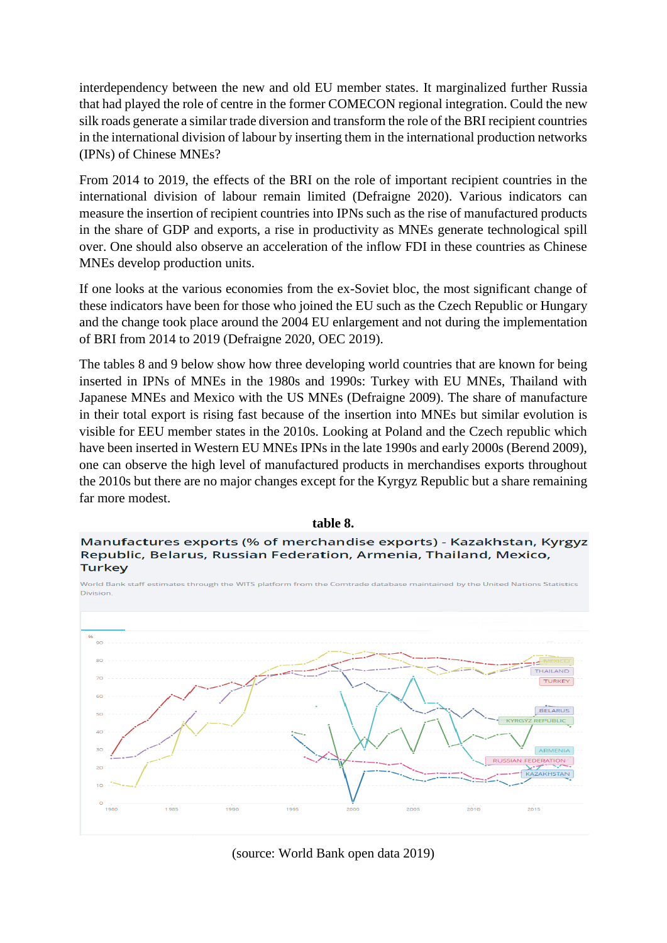interdependency between the new and old EU member states. It marginalized further Russia that had played the role of centre in the former COMECON regional integration. Could the new silk roads generate a similar trade diversion and transform the role of the BRI recipient countries in the international division of labour by inserting them in the international production networks (IPNs) of Chinese MNEs?

From 2014 to 2019, the effects of the BRI on the role of important recipient countries in the international division of labour remain limited (Defraigne 2020). Various indicators can measure the insertion of recipient countries into IPNs such as the rise of manufactured products in the share of GDP and exports, a rise in productivity as MNEs generate technological spill over. One should also observe an acceleration of the inflow FDI in these countries as Chinese MNEs develop production units.

If one looks at the various economies from the ex-Soviet bloc, the most significant change of these indicators have been for those who joined the EU such as the Czech Republic or Hungary and the change took place around the 2004 EU enlargement and not during the implementation of BRI from 2014 to 2019 (Defraigne 2020, OEC 2019).

The tables 8 and 9 below show how three developing world countries that are known for being inserted in IPNs of MNEs in the 1980s and 1990s: Turkey with EU MNEs, Thailand with Japanese MNEs and Mexico with the US MNEs (Defraigne 2009). The share of manufacture in their total export is rising fast because of the insertion into MNEs but similar evolution is visible for EEU member states in the 2010s. Looking at Poland and the Czech republic which have been inserted in Western EU MNEs IPNs in the late 1990s and early 2000s (Berend 2009), one can observe the high level of manufactured products in merchandises exports throughout the 2010s but there are no major changes except for the Kyrgyz Republic but a share remaining far more modest.





**table 8.**

(source: World Bank open data 2019)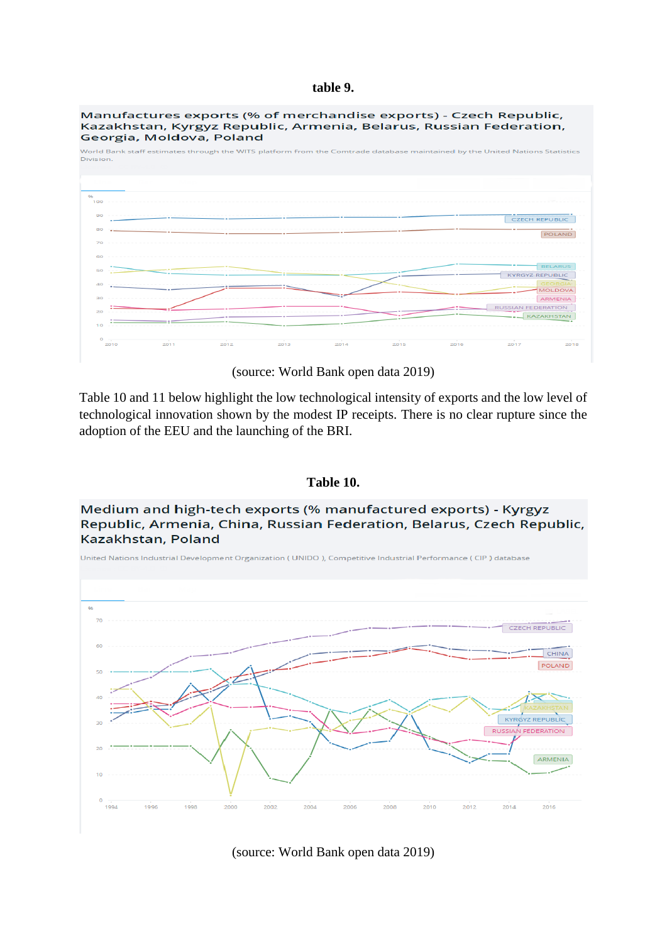#### **table 9.**

Manufactures exports (% of merchandise exports) - Czech Republic, Kazakhstan, Kyrgyz Republic, Armenia, Belarus, Russian Federation, Georgia, Moldova, Poland



(source: World Bank open data 2019)

Table 10 and 11 below highlight the low technological intensity of exports and the low level of technological innovation shown by the modest IP receipts. There is no clear rupture since the adoption of the EEU and the launching of the BRI.

#### **Table 10.**

Medium and high-tech exports (% manufactured exports) - Kyrgyz Republic, Armenia, China, Russian Federation, Belarus, Czech Republic, Kazakhstan, Poland



(source: World Bank open data 2019)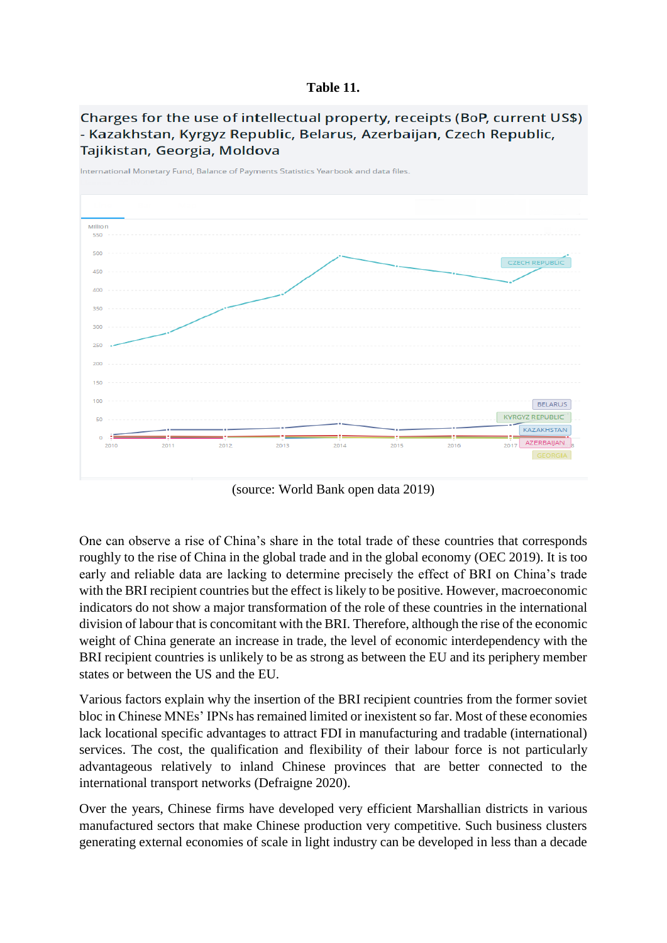#### **Table 11.**





(source: World Bank open data 2019)

One can observe a rise of China's share in the total trade of these countries that corresponds roughly to the rise of China in the global trade and in the global economy (OEC 2019). It is too early and reliable data are lacking to determine precisely the effect of BRI on China's trade with the BRI recipient countries but the effect is likely to be positive. However, macroeconomic indicators do not show a major transformation of the role of these countries in the international division of labour that is concomitant with the BRI. Therefore, although the rise of the economic weight of China generate an increase in trade, the level of economic interdependency with the BRI recipient countries is unlikely to be as strong as between the EU and its periphery member states or between the US and the EU.

Various factors explain why the insertion of the BRI recipient countries from the former soviet bloc in Chinese MNEs' IPNs has remained limited or inexistent so far. Most of these economies lack locational specific advantages to attract FDI in manufacturing and tradable (international) services. The cost, the qualification and flexibility of their labour force is not particularly advantageous relatively to inland Chinese provinces that are better connected to the international transport networks (Defraigne 2020).

Over the years, Chinese firms have developed very efficient Marshallian districts in various manufactured sectors that make Chinese production very competitive. Such business clusters generating external economies of scale in light industry can be developed in less than a decade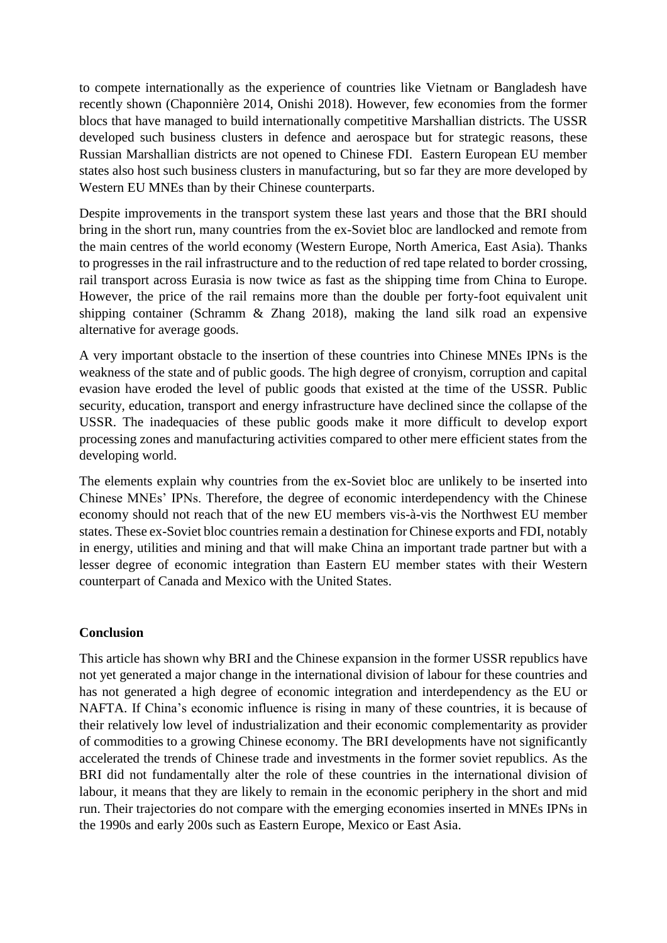to compete internationally as the experience of countries like Vietnam or Bangladesh have recently shown (Chaponnière 2014, Onishi 2018). However, few economies from the former blocs that have managed to build internationally competitive Marshallian districts. The USSR developed such business clusters in defence and aerospace but for strategic reasons, these Russian Marshallian districts are not opened to Chinese FDI. Eastern European EU member states also host such business clusters in manufacturing, but so far they are more developed by Western EU MNEs than by their Chinese counterparts.

Despite improvements in the transport system these last years and those that the BRI should bring in the short run, many countries from the ex-Soviet bloc are landlocked and remote from the main centres of the world economy (Western Europe, North America, East Asia). Thanks to progresses in the rail infrastructure and to the reduction of red tape related to border crossing, rail transport across Eurasia is now twice as fast as the shipping time from China to Europe. However, the price of the rail remains more than the double per forty-foot equivalent unit shipping container (Schramm & Zhang 2018), making the land silk road an expensive alternative for average goods.

A very important obstacle to the insertion of these countries into Chinese MNEs IPNs is the weakness of the state and of public goods. The high degree of cronyism, corruption and capital evasion have eroded the level of public goods that existed at the time of the USSR. Public security, education, transport and energy infrastructure have declined since the collapse of the USSR. The inadequacies of these public goods make it more difficult to develop export processing zones and manufacturing activities compared to other mere efficient states from the developing world.

The elements explain why countries from the ex-Soviet bloc are unlikely to be inserted into Chinese MNEs' IPNs. Therefore, the degree of economic interdependency with the Chinese economy should not reach that of the new EU members vis-à-vis the Northwest EU member states. These ex-Soviet bloc countries remain a destination for Chinese exports and FDI, notably in energy, utilities and mining and that will make China an important trade partner but with a lesser degree of economic integration than Eastern EU member states with their Western counterpart of Canada and Mexico with the United States.

# **Conclusion**

This article has shown why BRI and the Chinese expansion in the former USSR republics have not yet generated a major change in the international division of labour for these countries and has not generated a high degree of economic integration and interdependency as the EU or NAFTA. If China's economic influence is rising in many of these countries, it is because of their relatively low level of industrialization and their economic complementarity as provider of commodities to a growing Chinese economy. The BRI developments have not significantly accelerated the trends of Chinese trade and investments in the former soviet republics. As the BRI did not fundamentally alter the role of these countries in the international division of labour, it means that they are likely to remain in the economic periphery in the short and mid run. Their trajectories do not compare with the emerging economies inserted in MNEs IPNs in the 1990s and early 200s such as Eastern Europe, Mexico or East Asia.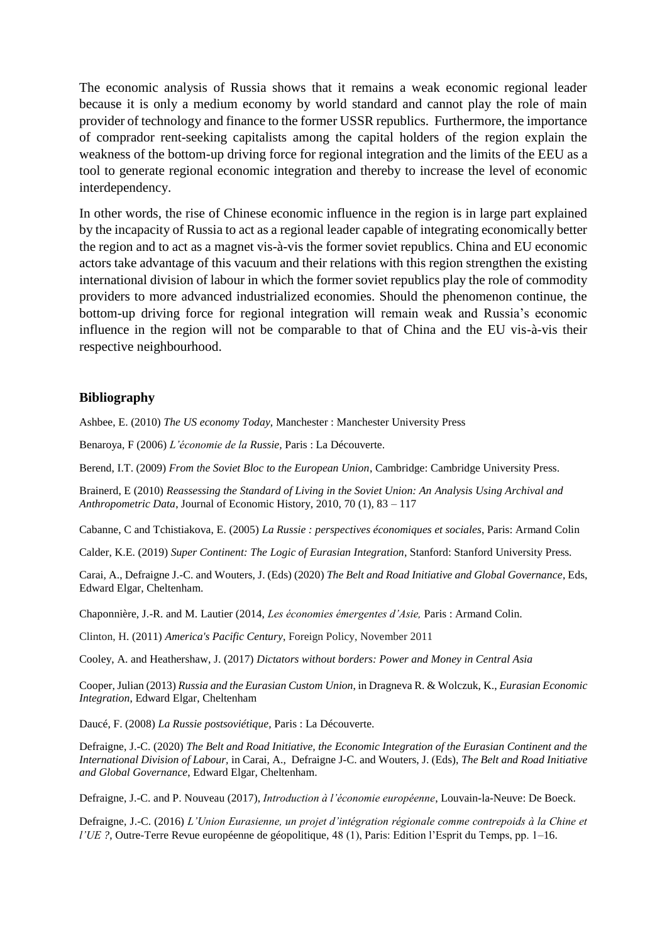The economic analysis of Russia shows that it remains a weak economic regional leader because it is only a medium economy by world standard and cannot play the role of main provider of technology and finance to the former USSR republics. Furthermore, the importance of comprador rent-seeking capitalists among the capital holders of the region explain the weakness of the bottom-up driving force for regional integration and the limits of the EEU as a tool to generate regional economic integration and thereby to increase the level of economic interdependency.

In other words, the rise of Chinese economic influence in the region is in large part explained by the incapacity of Russia to act as a regional leader capable of integrating economically better the region and to act as a magnet vis-à-vis the former soviet republics. China and EU economic actors take advantage of this vacuum and their relations with this region strengthen the existing international division of labour in which the former soviet republics play the role of commodity providers to more advanced industrialized economies. Should the phenomenon continue, the bottom-up driving force for regional integration will remain weak and Russia's economic influence in the region will not be comparable to that of China and the EU vis-à-vis their respective neighbourhood.

#### **Bibliography**

Ashbee, E. (2010) *The US economy Today,* Manchester : Manchester University Press

Benaroya, F (2006) *L'économie de la Russie,* Paris : La Découverte.

Berend, I.T. (2009) *From the Soviet Bloc to the European Union*, Cambridge: Cambridge University Press.

Brainerd, E (2010) *Reassessing the Standard of Living in the Soviet Union: An Analysis Using Archival and Anthropometric Data*, Journal of Economic History, 2010, 70 (1), 83 – 117

Cabanne, C and Tchistiakova, E. (2005) *La Russie : perspectives économiques et sociales*, Paris: Armand Colin

Calder, K.E. (2019) *Super Continent: The Logic of Eurasian Integration*, Stanford: Stanford University Press.

Carai, A., Defraigne J.-C. and Wouters, J. (Eds) (2020) *The Belt and Road Initiative and Global Governance*, Eds, Edward Elgar, Cheltenham.

Chaponnière, J.-R. and M. Lautier (2014, *Les économies émergentes d'Asie,* Paris : Armand Colin.

Clinton, H. (2011) *America's Pacific Century*, Foreign Policy, November 2011

Cooley, A. and Heathershaw, J. (2017) *Dictators without borders: Power and Money in Central Asia*

Cooper, Julian (2013) *Russia and the Eurasian Custom Union*, in Dragneva R. & Wolczuk, K., *Eurasian Economic Integration*, Edward Elgar, Cheltenham

Daucé, F. (2008) *La Russie postsoviétique,* Paris : La Découverte.

Defraigne, J.-C. (2020) *The Belt and Road Initiative, the Economic Integration of the Eurasian Continent and the International Division of Labour,* in Carai, A., Defraigne J-C. and Wouters, J. (Eds), *The Belt and Road Initiative and Global Governance*, Edward Elgar, Cheltenham.

Defraigne, J.-C. and P. Nouveau (2017), *Introduction à l'économie européenne*, Louvain-la-Neuve: De Boeck.

Defraigne, J.-C. (2016) *L'Union Eurasienne, un projet d'intégration régionale comme contrepoids à la Chine et l'UE ?*, Outre-Terre Revue européenne de géopolitique, 48 (1), Paris: Edition l'Esprit du Temps, pp. 1–16.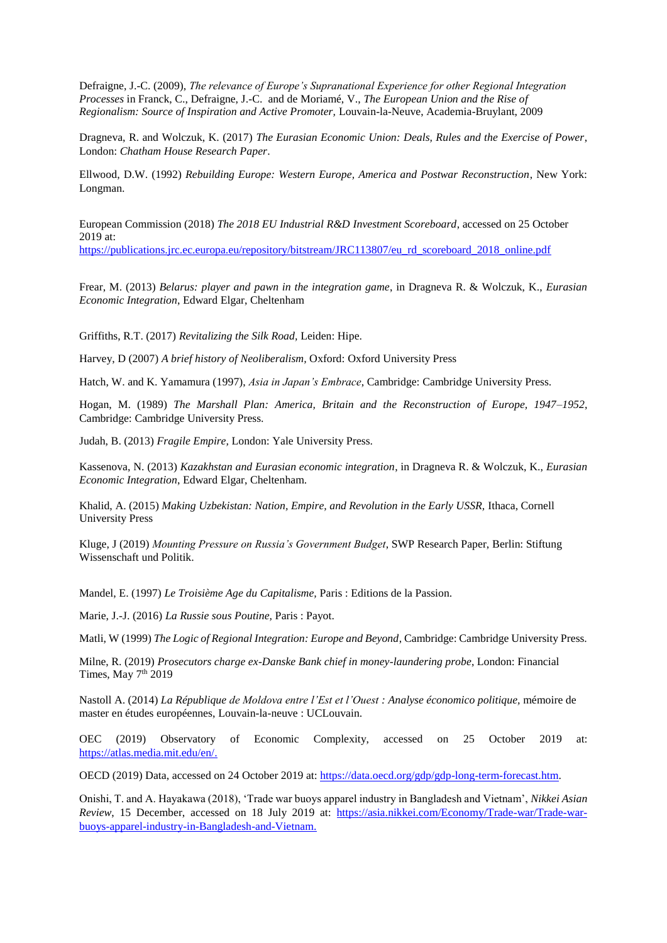Defraigne, J.-C. (2009), *The relevance of Europe's Supranational Experience for other Regional Integration Processes* in Franck, C., Defraigne, J.-C. and de Moriamé, V., *The European Union and the Rise of Regionalism: Source of Inspiration and Active Promoter,* Louvain-la-Neuve, Academia-Bruylant, 2009

Dragneva, R. and Wolczuk, K. (2017) *The Eurasian Economic Union: Deals, Rules and the Exercise of Power*, London: *Chatham House Research Paper*.

Ellwood, D.W. (1992) *Rebuilding Europe: Western Europe, America and Postwar Reconstruction*, New York: Longman.

European Commission (2018) *The 2018 EU Industrial R&D Investment Scoreboard*, accessed on 25 October 2019 at:

[https://publications.jrc.ec.europa.eu/repository/bitstream/JRC113807/eu\\_rd\\_scoreboard\\_2018\\_online.pdf](https://publications.jrc.ec.europa.eu/repository/bitstream/JRC113807/eu_rd_scoreboard_2018_online.pdf)

Frear, M. (2013) *Belarus: player and pawn in the integration game*, in Dragneva R. & Wolczuk, K., *Eurasian Economic Integration*, Edward Elgar, Cheltenham

Griffiths, R.T. (2017) *Revitalizing the Silk Road,* Leiden: Hipe.

Harvey, D (2007) *A brief history of Neoliberalism,* Oxford: Oxford University Press

Hatch, W. and K. Yamamura (1997), *Asia in Japan's Embrace*, Cambridge: Cambridge University Press.

Hogan, M. (1989) *The Marshall Plan: America, Britain and the Reconstruction of Europe, 1947–1952*, Cambridge: Cambridge University Press.

Judah, B. (2013) *Fragile Empire,* London: Yale University Press.

Kassenova, N. (2013) *Kazakhstan and Eurasian economic integration*, in Dragneva R. & Wolczuk, K., *Eurasian Economic Integration*, Edward Elgar, Cheltenham.

Khalid, A. (2015) *Making Uzbekistan: Nation, Empire, and Revolution in the Early USSR*, Ithaca, Cornell University Press

Kluge, J (2019) *Mounting Pressure on Russia's Government Budget*, SWP Research Paper, Berlin: Stiftung Wissenschaft und Politik.

Mandel, E. (1997) *Le Troisième Age du Capitalisme,* Paris : Editions de la Passion.

Marie, J.-J. (2016) *La Russie sous Poutine,* Paris : Payot.

Matli, W (1999) *The Logic of Regional Integration: Europe and Beyond*, Cambridge: Cambridge University Press.

Milne, R. (2019) *Prosecutors charge ex-Danske Bank chief in money-laundering probe*, London: Financial Times, May 7<sup>th</sup> 2019

Nastoll A. (2014) *La République de Moldova entre l'Est et l'Ouest : Analyse économico politique,* mémoire de master en études européennes, Louvain-la-neuve : UCLouvain.

OEC (2019) Observatory of Economic Complexity, accessed on 25 October 2019 at: [https://atlas.media.mit.edu/en/.](https://atlas.media.mit.edu/en/)

OECD (2019) Data, accessed on 24 October 2019 at: [https://data.oecd.org/gdp/gdp-long-term-forecast.htm.](https://data.oecd.org/gdp/gdp-long-term-forecast.htm)

Onishi, T. and A. Hayakawa (2018), 'Trade war buoys apparel industry in Bangladesh and Vietnam', *Nikkei Asian Review*, 15 December, accessed on 18 July 2019 at: [https://asia.nikkei.com/Economy/Trade-war/Trade-war](https://asia.nikkei.com/Economy/Trade-war/Trade-war-buoys-apparel-industry-in-Bangladesh-and-Vietnam)[buoys-apparel-industry-in-Bangladesh-and-Vietnam.](https://asia.nikkei.com/Economy/Trade-war/Trade-war-buoys-apparel-industry-in-Bangladesh-and-Vietnam)